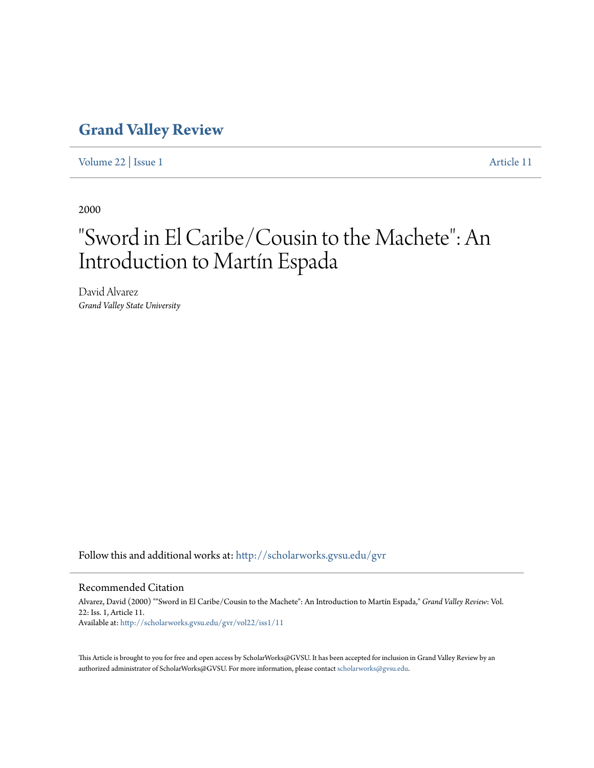## **[Grand Valley Review](http://scholarworks.gvsu.edu/gvr?utm_source=scholarworks.gvsu.edu%2Fgvr%2Fvol22%2Fiss1%2F11&utm_medium=PDF&utm_campaign=PDFCoverPages)**

[Volume 22](http://scholarworks.gvsu.edu/gvr/vol22?utm_source=scholarworks.gvsu.edu%2Fgvr%2Fvol22%2Fiss1%2F11&utm_medium=PDF&utm_campaign=PDFCoverPages) | [Issue 1](http://scholarworks.gvsu.edu/gvr/vol22/iss1?utm_source=scholarworks.gvsu.edu%2Fgvr%2Fvol22%2Fiss1%2F11&utm_medium=PDF&utm_campaign=PDFCoverPages) [Article 11](http://scholarworks.gvsu.edu/gvr/vol22/iss1/11?utm_source=scholarworks.gvsu.edu%2Fgvr%2Fvol22%2Fiss1%2F11&utm_medium=PDF&utm_campaign=PDFCoverPages)

2000

## "Sword in El Caribe/Cousin to the Machete": An Introduction to Martín Espada

David Alvarez *Grand Valley State University*

Follow this and additional works at: [http://scholarworks.gvsu.edu/gvr](http://scholarworks.gvsu.edu/gvr?utm_source=scholarworks.gvsu.edu%2Fgvr%2Fvol22%2Fiss1%2F11&utm_medium=PDF&utm_campaign=PDFCoverPages)

## Recommended Citation

Alvarez, David (2000) ""Sword in El Caribe/Cousin to the Machete": An Introduction to Martín Espada," *Grand Valley Review*: Vol. 22: Iss. 1, Article 11. Available at: [http://scholarworks.gvsu.edu/gvr/vol22/iss1/11](http://scholarworks.gvsu.edu/gvr/vol22/iss1/11?utm_source=scholarworks.gvsu.edu%2Fgvr%2Fvol22%2Fiss1%2F11&utm_medium=PDF&utm_campaign=PDFCoverPages)

This Article is brought to you for free and open access by ScholarWorks@GVSU. It has been accepted for inclusion in Grand Valley Review by an authorized administrator of ScholarWorks@GVSU. For more information, please contact [scholarworks@gvsu.edu.](mailto:scholarworks@gvsu.edu)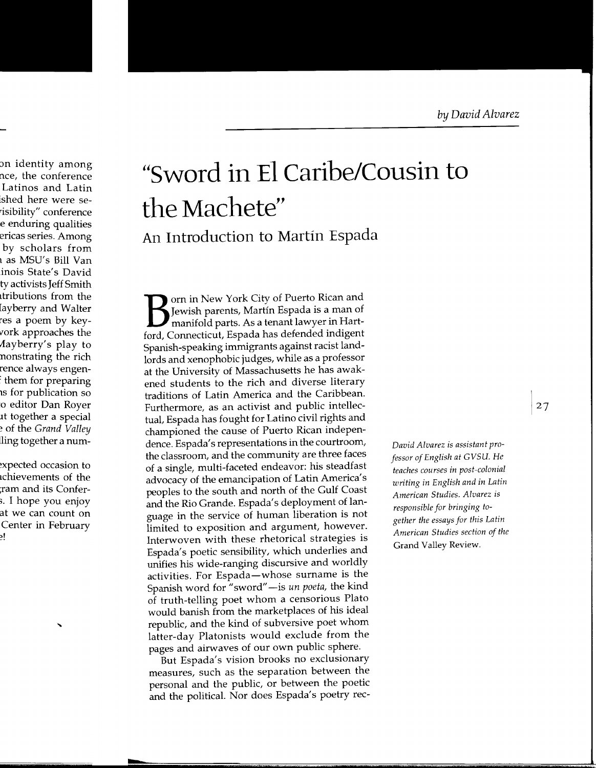## **"Sword in El Caribe/Cousin to the Machete" An Introduction to Martin Espada**

Born in New York City of Puerto Rican and Jewish parents, Martin Espada is a man of manifold parts. As a tenant lawyer in Hartford, Connecticut, Espada has defended indigent Spanish-speaking immigrants against racist landlords and xenophobic judges, while as a professor at the University of Massachusetts he has awakened students to the rich and diverse literary traditions of Latin America and the Caribbean. Furthermore, as an activist and public intellectual, Espada has fought for Latino civil rights and championed the cause of Puerto Rican independence. Espada's representations in the courtroom, the classroom, and the community are three faces of a single, multi-faceted endeavor: his steadfast advocacy of the emancipation of Latin America's peoples to the south and north of the Gulf Coast and the Rio Grande. Espada's deployment of language in the service of human liberation is not limited to exposition and argument, however. Interwoven with these rhetorical strategies is Espada's poetic sensibility, which underlies and unifies his wide-ranging discursive and worldly activities. For Espada-whose surname is the Spanish word for "sword"-is *un poeta,* the kind of truth-telling poet whom a censorious Plato would banish from the marketplaces of his ideal republic, and the kind of subversive poet whom latter-day Platonists would exclude from the pages and airwaves of our own public sphere.

But Espada's vision brooks no exclusionary measures, such as the separation between the personal and the public, or between the poetic and the political. Nor does Espada's poetry rec-

*David Alvarez* is *assistant professor of English at GVSU. He teaches courses* in *post-colonial writing* in *English and* in *Latin American Studies. Alvarez* is *responsible for bringing together the essays for this Latin American Studies section of the*  Grand Valley Review.